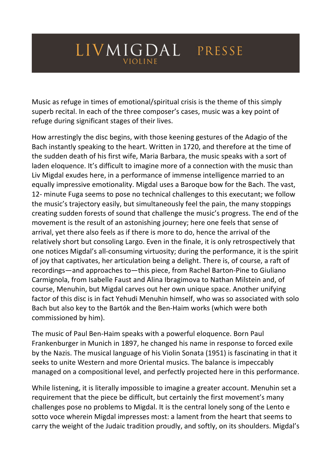## LIVMIGDAL PRESSE **VIOLINE**

Music as refuge in times of emotional/spiritual crisis is the theme of this simply superb recital. In each of the three composer's cases, music was a key point of refuge during significant stages of their lives.

How arrestingly the disc begins, with those keening gestures of the Adagio of the Bach instantly speaking to the heart. Written in 1720, and therefore at the time of the sudden death of his first wife, Maria Barbara, the music speaks with a sort of laden eloquence. It's difficult to imagine more of a connection with the music than Liv Migdal exudes here, in a performance of immense intelligence married to an equally impressive emotionality. Migdal uses a Baroque bow for the Bach. The vast, 12- minute Fuga seems to pose no technical challenges to this executant; we follow the music's trajectory easily, but simultaneously feel the pain, the many stoppings creating sudden forests of sound that challenge the music's progress. The end of the movement is the result of an astonishing journey; here one feels that sense of arrival, yet there also feels as if there is more to do, hence the arrival of the relatively short but consoling Largo. Even in the finale, it is only retrospectively that one notices Migdal's all-consuming virtuosity; during the performance, it is the spirit of joy that captivates, her articulation being a delight. There is, of course, a raft of recordings—and approaches to—this piece, from Rachel Barton-Pine to Giuliano Carmignola, from Isabelle Faust and Alina Ibragimova to Nathan Milstein and, of course, Menuhin, but Migdal carves out her own unique space. Another unifying factor of this disc is in fact Yehudi Menuhin himself, who was so associated with solo Bach but also key to the Bartók and the Ben-Haim works (which were both commissioned by him).

The music of Paul Ben-Haim speaks with a powerful eloquence. Born Paul Frankenburger in Munich in 1897, he changed his name in response to forced exile by the Nazis. The musical language of his Violin Sonata (1951) is fascinating in that it seeks to unite Western and more Oriental musics. The balance is impeccably managed on a compositional level, and perfectly projected here in this performance.

While listening, it is literally impossible to imagine a greater account. Menuhin set a requirement that the piece be difficult, but certainly the first movement's many challenges pose no problems to Migdal. It is the central lonely song of the Lento e sotto voce wherein Migdal impresses most: a lament from the heart that seems to carry the weight of the Judaic tradition proudly, and softly, on its shoulders. Migdal's